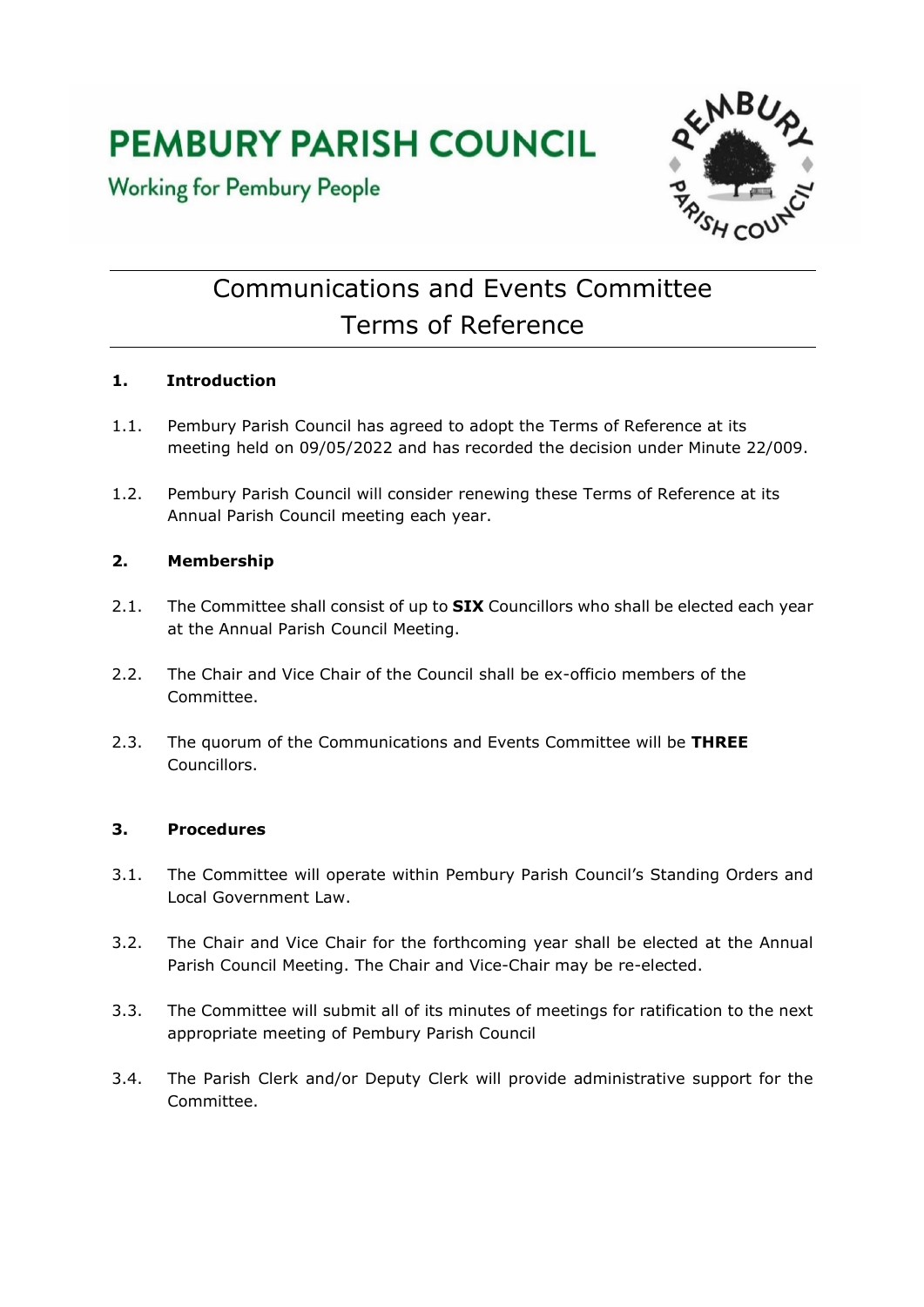# **PEMBURY PARISH COUNCIL**

**Working for Pembury People** 



# Communications and Events Committee Terms of Reference

# **1. Introduction**

- 1.1. Pembury Parish Council has agreed to adopt the Terms of Reference at its meeting held on 09/05/2022 and has recorded the decision under Minute 22/009.
- 1.2. Pembury Parish Council will consider renewing these Terms of Reference at its Annual Parish Council meeting each year.

## **2. Membership**

- 2.1. The Committee shall consist of up to **SIX** Councillors who shall be elected each year at the Annual Parish Council Meeting.
- 2.2. The Chair and Vice Chair of the Council shall be ex-officio members of the Committee.
- 2.3. The quorum of the Communications and Events Committee will be **THREE** Councillors.

## **3. Procedures**

- 3.1. The Committee will operate within Pembury Parish Council's Standing Orders and Local Government Law.
- 3.2. The Chair and Vice Chair for the forthcoming year shall be elected at the Annual Parish Council Meeting. The Chair and Vice-Chair may be re-elected.
- 3.3. The Committee will submit all of its minutes of meetings for ratification to the next appropriate meeting of Pembury Parish Council
- 3.4. The Parish Clerk and/or Deputy Clerk will provide administrative support for the Committee.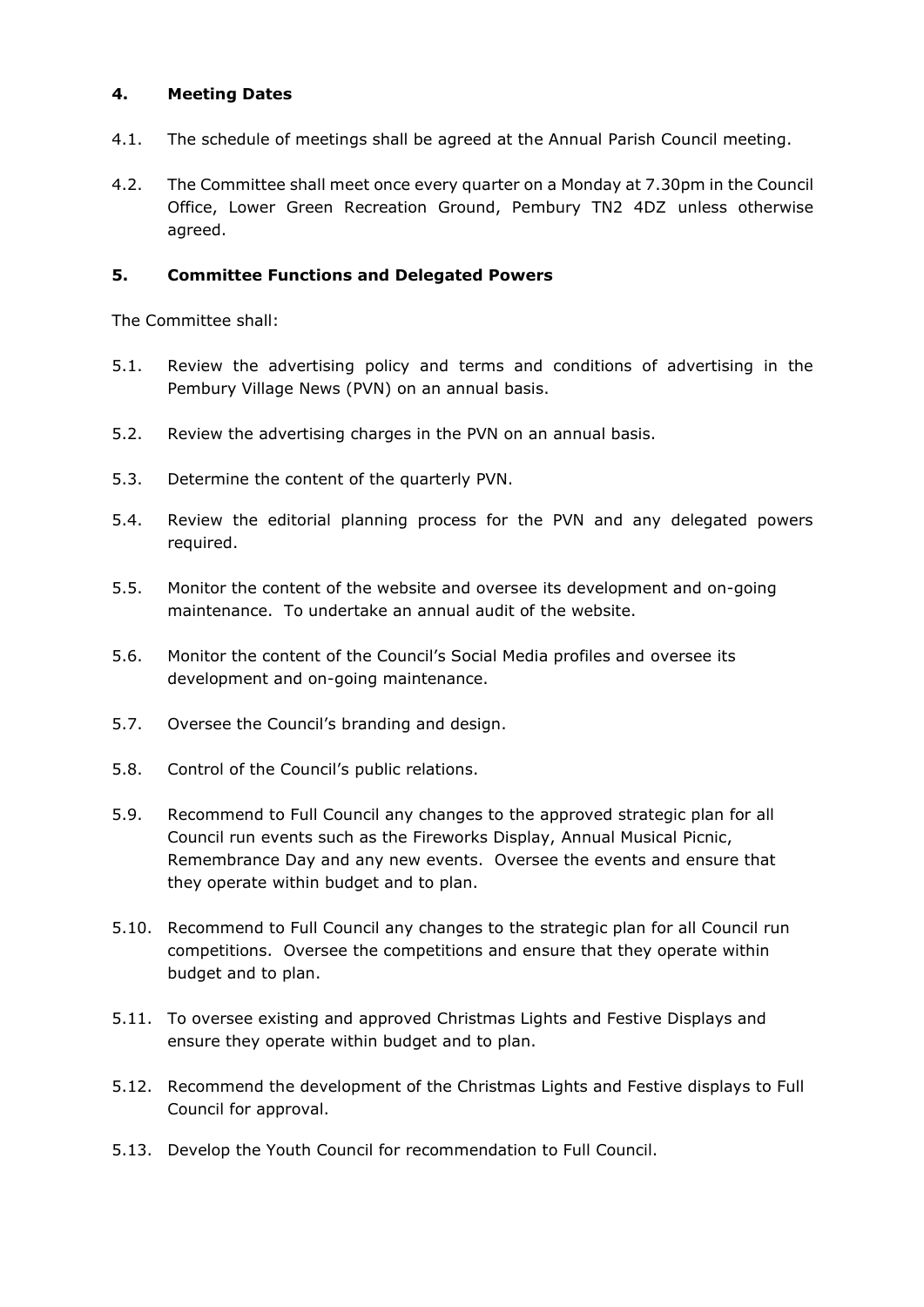#### **4. Meeting Dates**

- 4.1. The schedule of meetings shall be agreed at the Annual Parish Council meeting.
- 4.2. The Committee shall meet once every quarter on a Monday at 7.30pm in the Council Office, Lower Green Recreation Ground, Pembury TN2 4DZ unless otherwise agreed.

#### **5. Committee Functions and Delegated Powers**

The Committee shall:

- 5.1. Review the advertising policy and terms and conditions of advertising in the Pembury Village News (PVN) on an annual basis.
- 5.2. Review the advertising charges in the PVN on an annual basis.
- 5.3. Determine the content of the quarterly PVN.
- 5.4. Review the editorial planning process for the PVN and any delegated powers required.
- 5.5. Monitor the content of the website and oversee its development and on-going maintenance. To undertake an annual audit of the website.
- 5.6. Monitor the content of the Council's Social Media profiles and oversee its development and on-going maintenance.
- 5.7. Oversee the Council's branding and design.
- 5.8. Control of the Council's public relations.
- 5.9. Recommend to Full Council any changes to the approved strategic plan for all Council run events such as the Fireworks Display, Annual Musical Picnic, Remembrance Day and any new events. Oversee the events and ensure that they operate within budget and to plan.
- 5.10. Recommend to Full Council any changes to the strategic plan for all Council run competitions. Oversee the competitions and ensure that they operate within budget and to plan.
- 5.11. To oversee existing and approved Christmas Lights and Festive Displays and ensure they operate within budget and to plan.
- 5.12. Recommend the development of the Christmas Lights and Festive displays to Full Council for approval.
- 5.13. Develop the Youth Council for recommendation to Full Council.